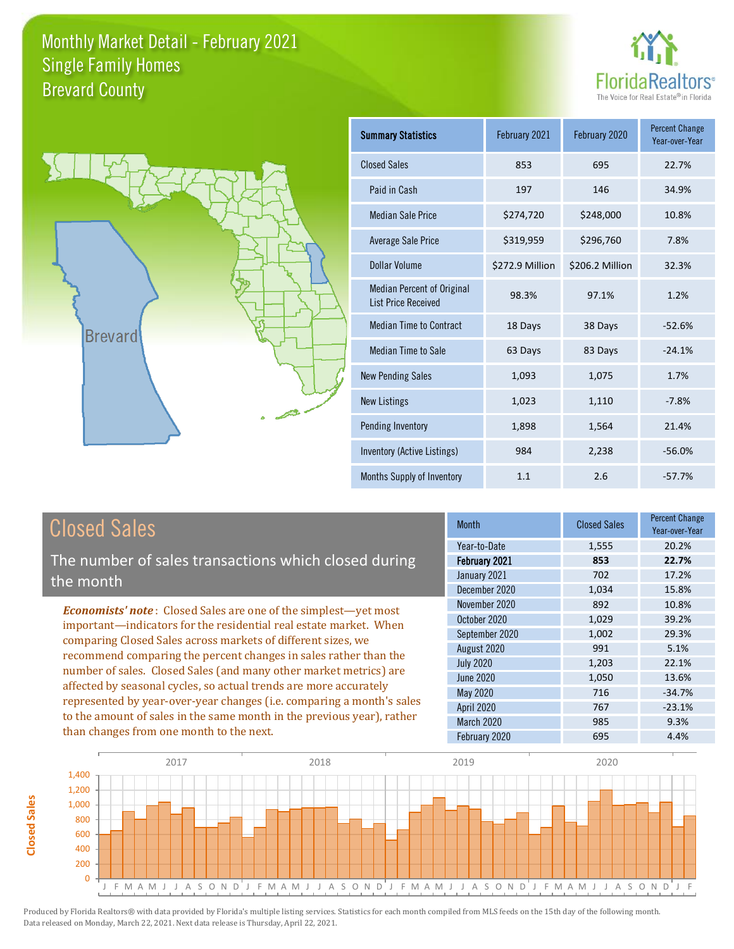



| Summary Statistics                                              | February 2021   | February 2020   | <b>Percent Change</b><br>Year-over-Year |
|-----------------------------------------------------------------|-----------------|-----------------|-----------------------------------------|
| <b>Closed Sales</b>                                             | 853             | 695             | 22.7%                                   |
| Paid in Cash                                                    | 197             | 146             | 34.9%                                   |
| <b>Median Sale Price</b>                                        | \$274,720       | \$248,000       | 10.8%                                   |
| Average Sale Price                                              | \$319,959       | \$296,760       | 7.8%                                    |
| Dollar Volume                                                   | \$272.9 Million | \$206.2 Million | 32.3%                                   |
| <b>Median Percent of Original</b><br><b>List Price Received</b> | 98.3%           | 97.1%           | 1.2%                                    |
| <b>Median Time to Contract</b>                                  | 18 Days         | 38 Days         | $-52.6%$                                |
| <b>Median Time to Sale</b>                                      | 63 Days         | 83 Days         | $-24.1%$                                |
| <b>New Pending Sales</b>                                        | 1,093           | 1,075           | 1.7%                                    |
| <b>New Listings</b>                                             | 1,023           | 1,110           | $-7.8%$                                 |
| Pending Inventory                                               | 1,898           | 1,564           | 21.4%                                   |
| Inventory (Active Listings)                                     | 984             | 2,238           | $-56.0%$                                |
| Months Supply of Inventory                                      | 1.1             | 2.6             | $-57.7%$                                |

### Closed Sales

The number of sales transactions which closed during the month

*Economists' note* : Closed Sales are one of the simplest—yet most important—indicators for the residential real estate market. When comparing Closed Sales across markets of different sizes, we recommend comparing the percent changes in sales rather than the number of sales. Closed Sales (and many other market metrics) are affected by seasonal cycles, so actual trends are more accurately represented by year-over-year changes (i.e. comparing a month's sales to the amount of sales in the same month in the previous year), rather than changes from one month to the next.

| <b>Month</b>     | <b>Closed Sales</b> | <b>Percent Change</b><br>Year-over-Year |
|------------------|---------------------|-----------------------------------------|
| Year-to-Date     | 1,555               | 20.2%                                   |
| February 2021    | 853                 | 22.7%                                   |
| January 2021     | 702                 | 17.2%                                   |
| December 2020    | 1,034               | 15.8%                                   |
| November 2020    | 892                 | 10.8%                                   |
| October 2020     | 1,029               | 39.2%                                   |
| September 2020   | 1,002               | 29.3%                                   |
| August 2020      | 991                 | 5.1%                                    |
| <b>July 2020</b> | 1,203               | 22.1%                                   |
| June 2020        | 1,050               | 13.6%                                   |
| <b>May 2020</b>  | 716                 | $-34.7%$                                |
| April 2020       | 767                 | $-23.1%$                                |
| March 2020       | 985                 | 9.3%                                    |
| February 2020    | 695                 | 4.4%                                    |

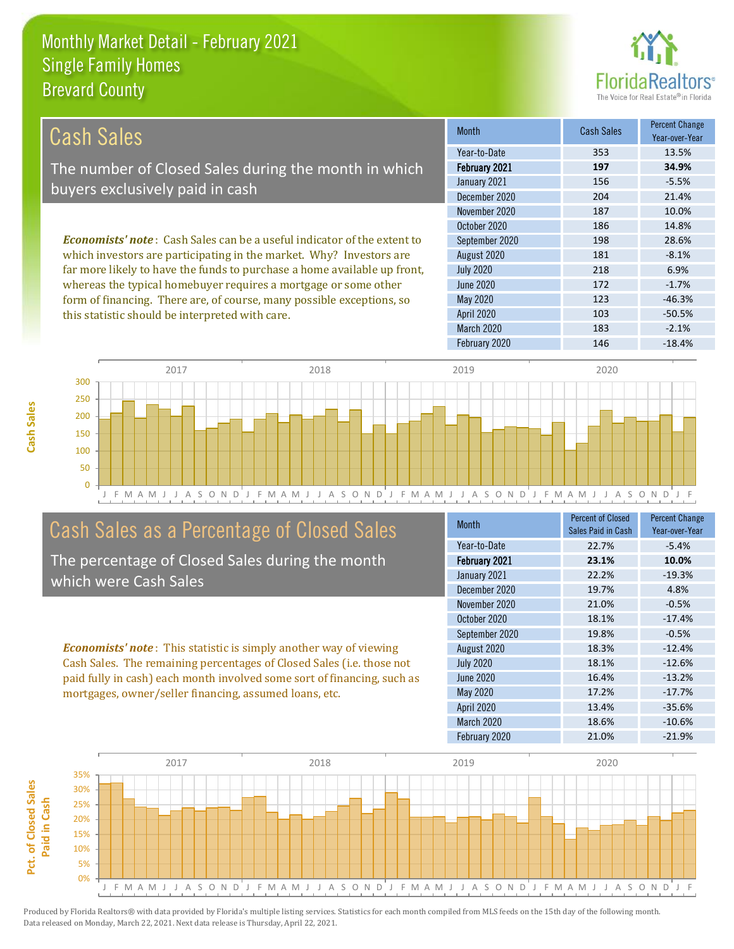this statistic should be interpreted with care.



103 -50.5%

| Cash Sales                                                                     | <b>Month</b>     | Cash Sales | <b>Percent Change</b><br>Year-over-Year |
|--------------------------------------------------------------------------------|------------------|------------|-----------------------------------------|
|                                                                                | Year-to-Date     | 353        | 13.5%                                   |
| The number of Closed Sales during the month in which                           | February 2021    | 197        | 34.9%                                   |
| buyers exclusively paid in cash                                                | January 2021     | 156        | $-5.5%$                                 |
|                                                                                | December 2020    | 204        | 21.4%                                   |
|                                                                                | November 2020    | 187        | 10.0%                                   |
|                                                                                | October 2020     | 186        | 14.8%                                   |
| <b>Economists' note:</b> Cash Sales can be a useful indicator of the extent to | September 2020   | 198        | 28.6%                                   |
| which investors are participating in the market. Why? Investors are            | August 2020      | 181        | $-8.1%$                                 |
| far more likely to have the funds to purchase a home available up front,       | <b>July 2020</b> | 218        | 6.9%                                    |
| whereas the typical homebuyer requires a mortgage or some other                | June 2020        | 172        | $-1.7%$                                 |
| form of financing. There are, of course, many possible exceptions, so          | May 2020         | 123        | $-46.3%$                                |

April 2020



#### Cash Sales as a Percentage of Closed Sales

The percentage of Closed Sales during the month which were Cash Sales

*Economists' note* : This statistic is simply another way of viewing Cash Sales. The remaining percentages of Closed Sales (i.e. those not paid fully in cash) each month involved some sort of financing, such as mortgages, owner/seller financing, assumed loans, etc.

| <b>Month</b>     | <b>Percent of Closed</b><br>Sales Paid in Cash | <b>Percent Change</b><br>Year-over-Year |
|------------------|------------------------------------------------|-----------------------------------------|
| Year-to-Date     | 22.7%                                          | $-5.4%$                                 |
| February 2021    | 23.1%                                          | 10.0%                                   |
| January 2021     | 22.2%                                          | $-19.3%$                                |
| December 2020    | 19.7%                                          | 4.8%                                    |
| November 2020    | 21.0%                                          | $-0.5%$                                 |
| October 2020     | 18.1%                                          | $-17.4%$                                |
| September 2020   | 19.8%                                          | $-0.5%$                                 |
| August 2020      | 18.3%                                          | $-12.4%$                                |
| <b>July 2020</b> | 18.1%                                          | $-12.6%$                                |
| June 2020        | 16.4%                                          | $-13.2%$                                |
| <b>May 2020</b>  | 17.2%                                          | $-17.7%$                                |
| April 2020       | 13.4%                                          | $-35.6%$                                |
| March 2020       | 18.6%                                          | $-10.6%$                                |
| February 2020    | 21.0%                                          | $-21.9%$                                |

March 2020 183 -2.1%

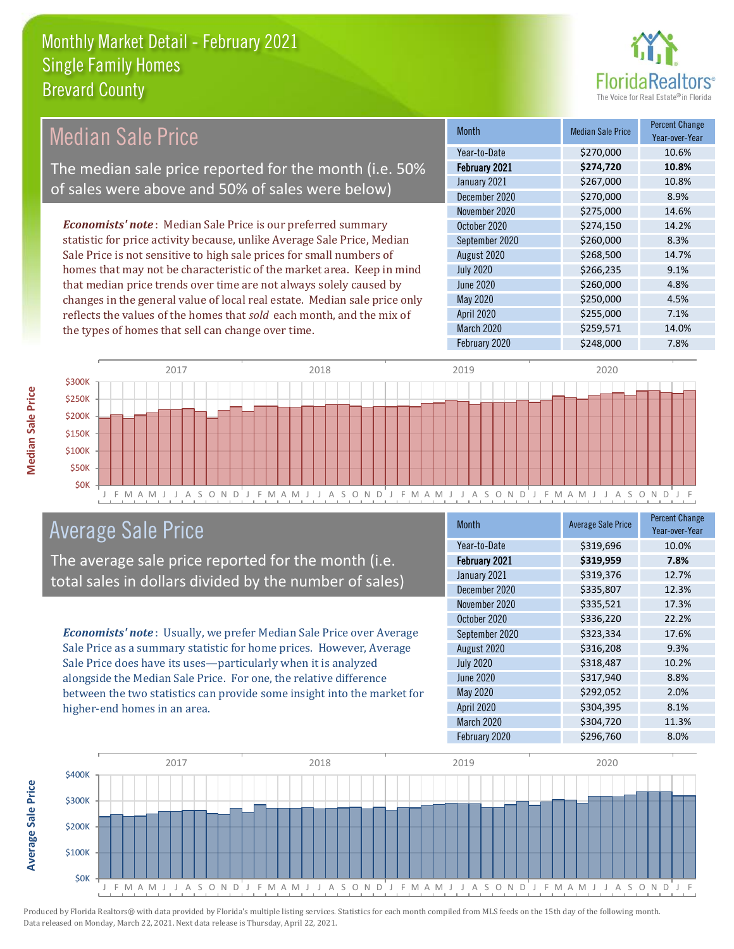

#### Month Median Sale Price Percent Change Year-over-Year February 2021 **\$274,720 10.8%** Year-to-Date \$270,000 10.6% July 2020 \$266,235 9.1% January 2021 **\$267,000** 10.8% December 2020 \$270,000 \$2.9% September 2020 \$260,000 8.3% August 2020 \$268,500 14.7% November 2020 \$275,000 14.6% October 2020 \$274,150 14.2% June 2020 **\$260,000** \$260,000 4.8% May 2020 \$250,000 \$250,000 4.5% April 2020 \$255,000 7.1% March 2020 \$259,571 14.0% February 2020 \$248,000 \$248,000 7.8% *Economists' note* : Median Sale Price is our preferred summary statistic for price activity because, unlike Average Sale Price, Median Sale Price is not sensitive to high sale prices for small numbers of homes that may not be characteristic of the market area. Keep in mind that median price trends over time are not always solely caused by changes in the general value of local real estate. Median sale price only reflects the values of the homes that *sold* each month, and the mix of the types of homes that sell can change over time. Median Sale Price The median sale price reported for the month (i.e. 50% of sales were above and 50% of sales were below)



#### Average Sale Price

The average sale price reported for the month (i.e. total sales in dollars divided by the number of sales)

*Economists' note* : Usually, we prefer Median Sale Price over Average Sale Price as a summary statistic for home prices. However, Average Sale Price does have its uses—particularly when it is analyzed alongside the Median Sale Price. For one, the relative difference between the two statistics can provide some insight into the market for higher-end homes in an area.

| <b>Month</b>     | <b>Average Sale Price</b> | <b>Percent Change</b><br>Year-over-Year |
|------------------|---------------------------|-----------------------------------------|
| Year-to-Date     | \$319,696                 | 10.0%                                   |
| February 2021    | \$319,959                 | 7.8%                                    |
| January 2021     | \$319,376                 | 12.7%                                   |
| December 2020    | \$335,807                 | 12.3%                                   |
| November 2020    | \$335,521                 | 17.3%                                   |
| October 2020     | \$336,220                 | 22.2%                                   |
| September 2020   | \$323,334                 | 17.6%                                   |
| August 2020      | \$316,208                 | 9.3%                                    |
| <b>July 2020</b> | \$318,487                 | 10.2%                                   |
| June 2020        | \$317,940                 | 8.8%                                    |
| May 2020         | \$292,052                 | 2.0%                                    |
| April 2020       | \$304,395                 | 8.1%                                    |
| March 2020       | \$304,720                 | 11.3%                                   |
| February 2020    | \$296,760                 | 8.0%                                    |



Produced by Florida Realtors® with data provided by Florida's multiple listing services. Statistics for each month compiled from MLS feeds on the 15th day of the following month. Data released on Monday, March 22, 2021. Next data release is Thursday, April 22, 2021.

**Average Sale Price**

**Average Sale Price**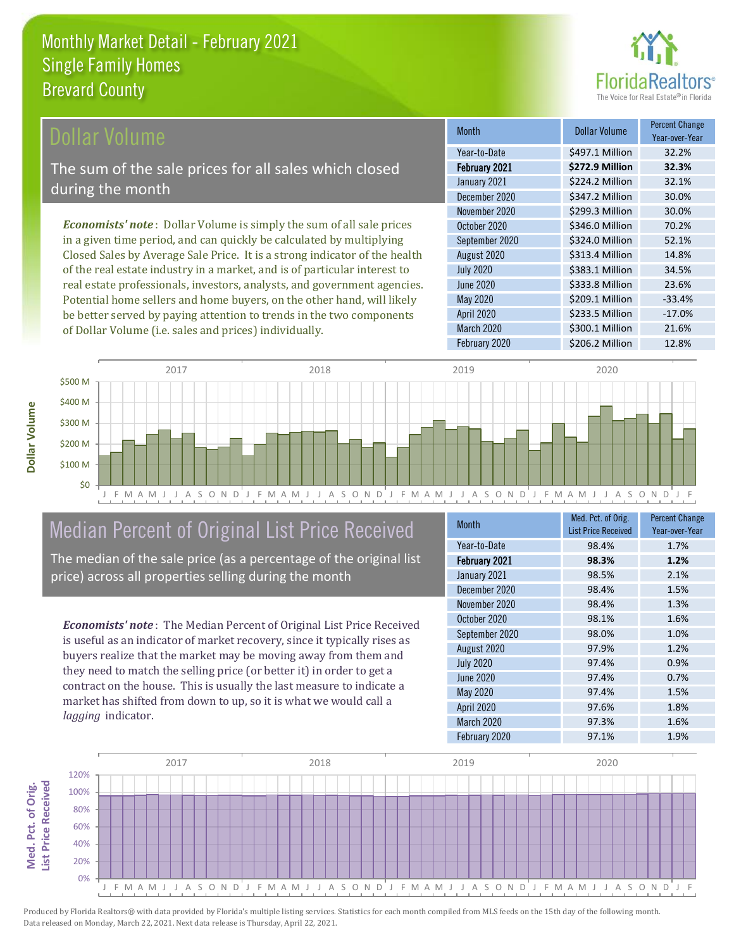

#### **Ollar Volume**

The sum of the sale prices for all sales which closed during the month

*Economists' note* : Dollar Volume is simply the sum of all sale prices in a given time period, and can quickly be calculated by multiplying Closed Sales by Average Sale Price. It is a strong indicator of the health of the real estate industry in a market, and is of particular interest to real estate professionals, investors, analysts, and government agencies. Potential home sellers and home buyers, on the other hand, will likely be better served by paying attention to trends in the two components of Dollar Volume (i.e. sales and prices) individually.

| <b>Month</b>      | <b>Dollar Volume</b> | <b>Percent Change</b><br>Year-over-Year |
|-------------------|----------------------|-----------------------------------------|
| Year-to-Date      | \$497.1 Million      | 32.2%                                   |
| February 2021     | \$272.9 Million      | 32.3%                                   |
| January 2021      | \$224.2 Million      | 32.1%                                   |
| December 2020     | \$347.2 Million      | 30.0%                                   |
| November 2020     | \$299.3 Million      | 30.0%                                   |
| October 2020      | \$346.0 Million      | 70.2%                                   |
| September 2020    | \$324.0 Million      | 52.1%                                   |
| August 2020       | \$313.4 Million      | 14.8%                                   |
| <b>July 2020</b>  | \$383.1 Million      | 34.5%                                   |
| <b>June 2020</b>  | \$333.8 Million      | 23.6%                                   |
| <b>May 2020</b>   | \$209.1 Million      | $-33.4%$                                |
| <b>April 2020</b> | \$233.5 Million      | $-17.0%$                                |
| March 2020        | \$300.1 Million      | 21.6%                                   |
| February 2020     | \$206.2 Million      | 12.8%                                   |



## Median Percent of Original List Price Received

The median of the sale price (as a percentage of the original list price) across all properties selling during the month

*Economists' note* : The Median Percent of Original List Price Received is useful as an indicator of market recovery, since it typically rises as buyers realize that the market may be moving away from them and they need to match the selling price (or better it) in order to get a contract on the house. This is usually the last measure to indicate a market has shifted from down to up, so it is what we would call a *lagging* indicator.

| <b>Month</b>     | Med. Pct. of Orig.<br><b>List Price Received</b> | <b>Percent Change</b><br>Year-over-Year |
|------------------|--------------------------------------------------|-----------------------------------------|
| Year-to-Date     | 98.4%                                            | 1.7%                                    |
| February 2021    | 98.3%                                            | 1.2%                                    |
| January 2021     | 98.5%                                            | 2.1%                                    |
| December 2020    | 98.4%                                            | 1.5%                                    |
| November 2020    | 98.4%                                            | 1.3%                                    |
| October 2020     | 98.1%                                            | 1.6%                                    |
| September 2020   | 98.0%                                            | 1.0%                                    |
| August 2020      | 97.9%                                            | 1.2%                                    |
| <b>July 2020</b> | 97.4%                                            | 0.9%                                    |
| <b>June 2020</b> | 97.4%                                            | 0.7%                                    |
| <b>May 2020</b>  | 97.4%                                            | 1.5%                                    |
| April 2020       | 97.6%                                            | 1.8%                                    |
| March 2020       | 97.3%                                            | 1.6%                                    |
| February 2020    | 97.1%                                            | 1.9%                                    |

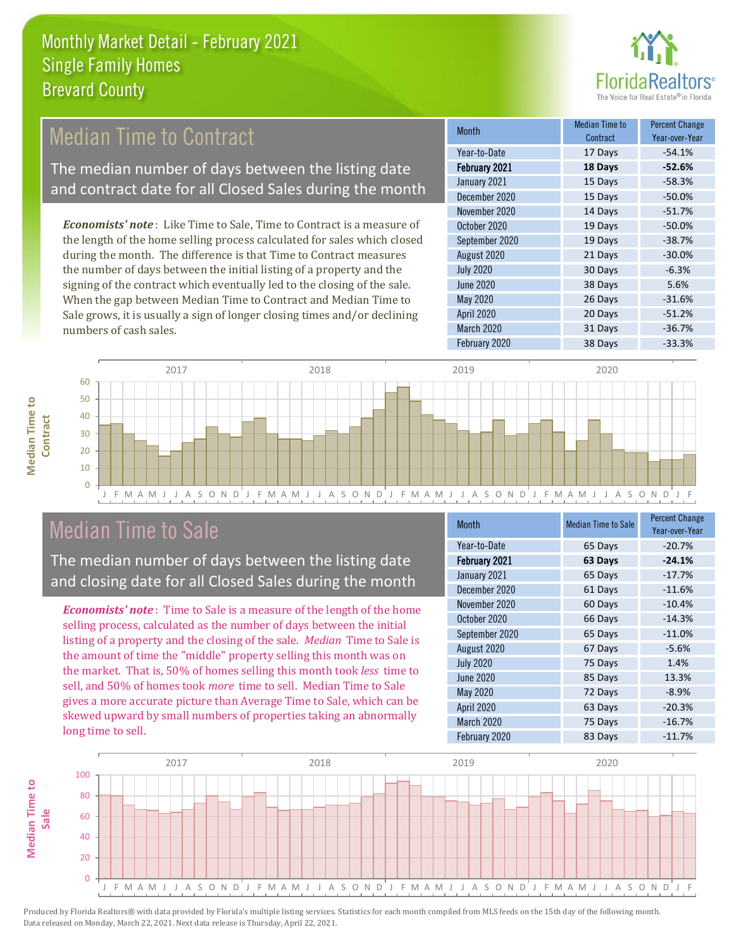

#### Median Time to Contract

The median number of days between the listing date and contract date for all Closed Sales during the month

*Economists' note* : Like Time to Sale, Time to Contract is a measure of the length of the home selling process calculated for sales which closed during the month. The difference is that Time to Contract measures the number of days between the initial listing of a property and the signing of the contract which eventually led to the closing of the sale. When the gap between Median Time to Contract and Median Time to Sale grows, it is usually a sign of longer closing times and/or declining numbers of cash sales.

| <b>Month</b>     | Median Time to<br>Contract | <b>Percent Change</b><br>Year-over-Year |
|------------------|----------------------------|-----------------------------------------|
| Year-to-Date     | 17 Days                    | $-54.1%$                                |
| February 2021    | 18 Days                    | $-52.6%$                                |
| January 2021     | 15 Days                    | $-58.3%$                                |
| December 2020    | 15 Days                    | $-50.0%$                                |
| November 2020    | 14 Days                    | $-51.7%$                                |
| October 2020     | 19 Days                    | $-50.0%$                                |
| September 2020   | 19 Days                    | $-38.7%$                                |
| August 2020      | 21 Days                    | $-30.0%$                                |
| <b>July 2020</b> | 30 Days                    | $-6.3%$                                 |
| <b>June 2020</b> | 38 Days                    | 5.6%                                    |
| <b>May 2020</b>  | 26 Days                    | $-31.6%$                                |
| April 2020       | 20 Days                    | $-51.2%$                                |
| March 2020       | 31 Days                    | $-36.7%$                                |
| February 2020    | 38 Days                    | $-33.3%$                                |



#### J F M A M J J A S O N D J F M A M J J A S O N D J F M A M J J A S O N D J F M A M J J A S O N D J F

#### Median Time to Sale

The median number of days between the listing date and closing date for all Closed Sales during the month

*Economists' note* : Time to Sale is a measure of the length of the home selling process, calculated as the number of days between the initial listing of a property and the closing of the sale. *Median* Time to Sale is the amount of time the "middle" property selling this month was on the market. That is, 50% of homes selling this month took *less* time to sell, and 50% of homes took *more* time to sell. Median Time to Sale gives a more accurate picture than Average Time to Sale, which can be skewed upward by small numbers of properties taking an abnormally long time to sell.

| <b>Month</b>      | <b>Median Time to Sale</b> | <b>Percent Change</b><br>Year-over-Year |
|-------------------|----------------------------|-----------------------------------------|
| Year-to-Date      | 65 Days                    | $-20.7%$                                |
| February 2021     | 63 Days                    | $-24.1%$                                |
| January 2021      | 65 Days                    | $-17.7%$                                |
| December 2020     | 61 Days                    | $-11.6%$                                |
| November 2020     | 60 Days                    | $-10.4%$                                |
| October 2020      | 66 Days                    | $-14.3%$                                |
| September 2020    | 65 Days                    | $-11.0%$                                |
| August 2020       | 67 Days                    | $-5.6%$                                 |
| <b>July 2020</b>  | 75 Days                    | 1.4%                                    |
| <b>June 2020</b>  | 85 Days                    | 13.3%                                   |
| <b>May 2020</b>   | 72 Days                    | $-8.9%$                                 |
| <b>April 2020</b> | 63 Days                    | $-20.3%$                                |
| March 2020        | 75 Days                    | $-16.7%$                                |
| February 2020     | 83 Days                    | $-11.7%$                                |

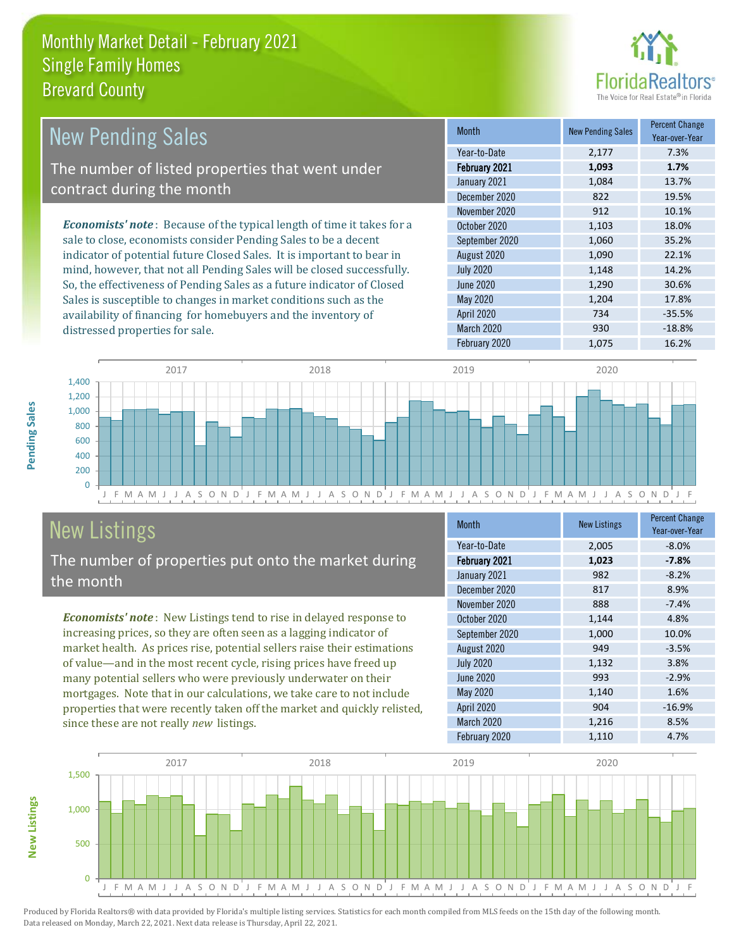

| <b>New Pending Sales</b>                                                       | <b>Month</b>     | <b>New Pending Sales</b> | <b>Percent Change</b><br>Year-over-Year |
|--------------------------------------------------------------------------------|------------------|--------------------------|-----------------------------------------|
|                                                                                | Year-to-Date     | 2,177                    | 7.3%                                    |
| The number of listed properties that went under                                | February 2021    | 1,093                    | 1.7%                                    |
| contract during the month                                                      | January 2021     | 1,084                    | 13.7%                                   |
|                                                                                | December 2020    | 822                      | 19.5%                                   |
|                                                                                | November 2020    | 912                      | 10.1%                                   |
| <b>Economists' note</b> : Because of the typical length of time it takes for a | October 2020     | 1,103                    | 18.0%                                   |
| sale to close, economists consider Pending Sales to be a decent                | September 2020   | 1,060                    | 35.2%                                   |
| indicator of potential future Closed Sales. It is important to bear in         | August 2020      | 1,090                    | 22.1%                                   |
| mind, however, that not all Pending Sales will be closed successfully.         | <b>July 2020</b> | 1,148                    | 14.2%                                   |
| So, the effectiveness of Pending Sales as a future indicator of Closed         | June 2020        | 1,290                    | 30.6%                                   |
| Sales is susceptible to changes in market conditions such as the               | May 2020         | 1,204                    | 17.8%                                   |

J F M A M J J A S O N D J F M A M J J A S O N D J F M A M J J A S O N D J F M A M J J A S O N D J F  $\Omega$ 200 400 600 800 1,000 1,200 1,400 2017 2018 2019 2020

# New Listings

distressed properties for sale.

The number of properties put onto the market during the month

availability of financing for homebuyers and the inventory of

*Economists' note* : New Listings tend to rise in delayed response to increasing prices, so they are often seen as a lagging indicator of market health. As prices rise, potential sellers raise their estimations of value—and in the most recent cycle, rising prices have freed up many potential sellers who were previously underwater on their mortgages. Note that in our calculations, we take care to not include properties that were recently taken off the market and quickly relisted, since these are not really *new* listings.

| <b>Month</b>      | <b>New Listings</b> | <b>Percent Change</b><br>Year-over-Year |
|-------------------|---------------------|-----------------------------------------|
| Year-to-Date      | 2,005               | $-8.0%$                                 |
| February 2021     | 1,023               | $-7.8%$                                 |
| January 2021      | 982                 | $-8.2%$                                 |
| December 2020     | 817                 | 8.9%                                    |
| November 2020     | 888                 | $-7.4%$                                 |
| October 2020      | 1,144               | 4.8%                                    |
| September 2020    | 1,000               | 10.0%                                   |
| August 2020       | 949                 | $-3.5%$                                 |
| <b>July 2020</b>  | 1,132               | 3.8%                                    |
| June 2020         | 993                 | $-2.9%$                                 |
| <b>May 2020</b>   | 1,140               | 1.6%                                    |
| <b>April 2020</b> | 904                 | $-16.9%$                                |
| March 2020        | 1,216               | 8.5%                                    |
| February 2020     | 1,110               | 4.7%                                    |

April 2020 734 -35.5% March 2020 930 930 -18.8% February 2020 1,075 16.2%



**New Listings**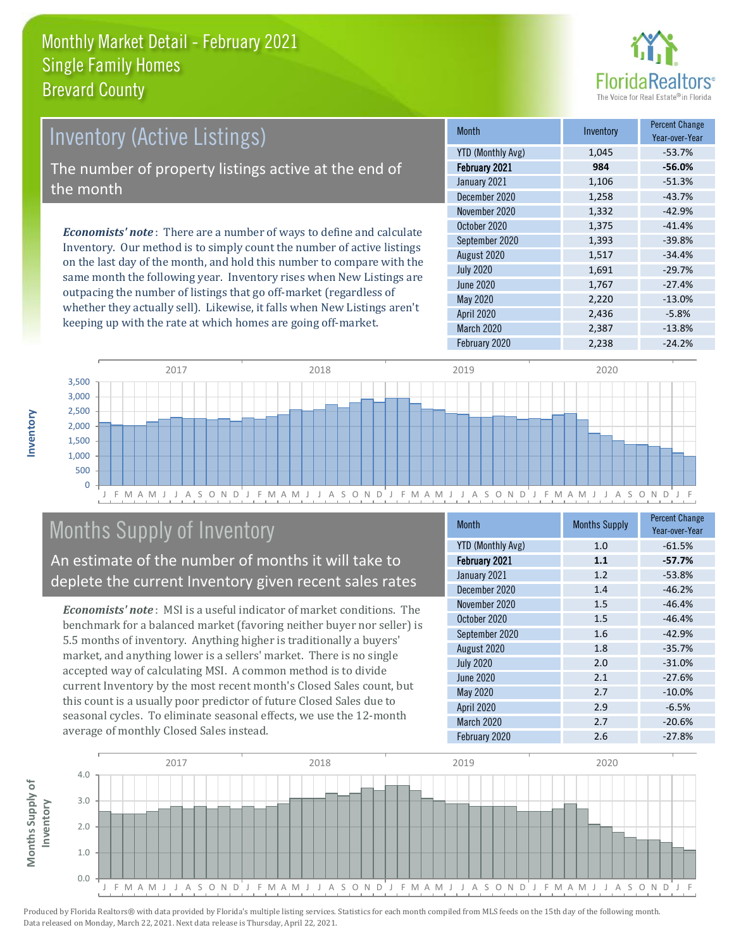

#### Inventory (Active Listings) The number of property listings active at the end of the month

*Economists' note* : There are a number of ways to define and calculate Inventory. Our method is to simply count the number of active listings on the last day of the month, and hold this number to compare with the same month the following year. Inventory rises when New Listings are outpacing the number of listings that go off-market (regardless of whether they actually sell). Likewise, it falls when New Listings aren't keeping up with the rate at which homes are going off-market.

| <b>Month</b>             | Inventory | <b>Percent Change</b><br>Year-over-Year |
|--------------------------|-----------|-----------------------------------------|
| <b>YTD (Monthly Avg)</b> | 1,045     | $-53.7%$                                |
| February 2021            | 984       | $-56.0%$                                |
| January 2021             | 1,106     | $-51.3%$                                |
| December 2020            | 1,258     | $-43.7%$                                |
| November 2020            | 1,332     | $-42.9%$                                |
| October 2020             | 1,375     | $-41.4%$                                |
| September 2020           | 1,393     | $-39.8%$                                |
| August 2020              | 1,517     | $-34.4%$                                |
| <b>July 2020</b>         | 1,691     | $-29.7%$                                |
| <b>June 2020</b>         | 1,767     | $-27.4%$                                |
| May 2020                 | 2,220     | $-13.0%$                                |
| April 2020               | 2,436     | $-5.8%$                                 |
| March 2020               | 2,387     | $-13.8%$                                |
| February 2020            | 2,238     | $-24.2%$                                |



### Months Supply of Inventory

An estimate of the number of months it will take to deplete the current Inventory given recent sales rates

*Economists' note* : MSI is a useful indicator of market conditions. The benchmark for a balanced market (favoring neither buyer nor seller) is 5.5 months of inventory. Anything higher is traditionally a buyers' market, and anything lower is a sellers' market. There is no single accepted way of calculating MSI. A common method is to divide current Inventory by the most recent month's Closed Sales count, but this count is a usually poor predictor of future Closed Sales due to seasonal cycles. To eliminate seasonal effects, we use the 12-month average of monthly Closed Sales instead.

| <b>Month</b>             | <b>Months Supply</b> | <b>Percent Change</b><br>Year-over-Year |
|--------------------------|----------------------|-----------------------------------------|
| <b>YTD (Monthly Avg)</b> | 1.0                  | $-61.5%$                                |
| February 2021            | 1.1                  | $-57.7%$                                |
| January 2021             | 1.2                  | $-53.8%$                                |
| December 2020            | 1.4                  | $-46.2%$                                |
| November 2020            | 1.5                  | $-46.4%$                                |
| October 2020             | 1.5                  | $-46.4%$                                |
| September 2020           | 1.6                  | $-42.9%$                                |
| August 2020              | 1.8                  | $-35.7%$                                |
| <b>July 2020</b>         | 2.0                  | $-31.0%$                                |
| <b>June 2020</b>         | 2.1                  | $-27.6%$                                |
| May 2020                 | 2.7                  | $-10.0%$                                |
| April 2020               | 2.9                  | $-6.5%$                                 |
| March 2020               | 2.7                  | $-20.6%$                                |
| February 2020            | 2.6                  | $-27.8%$                                |

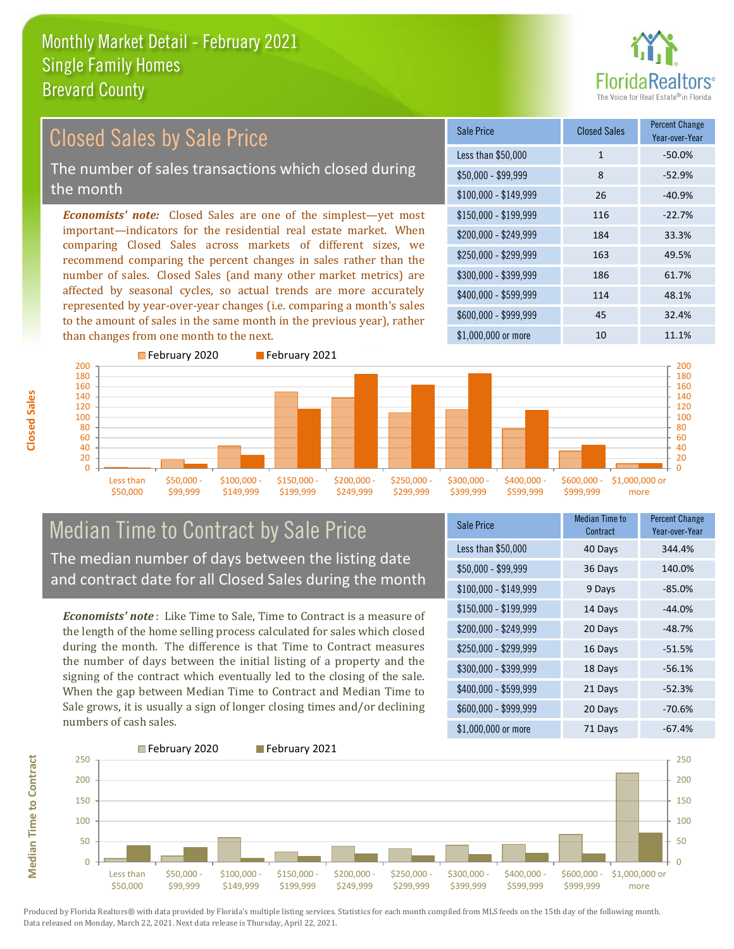

#### *Economists' note:* Closed Sales are one of the simplest—yet most important—indicators for the residential real estate market. When comparing Closed Sales across markets of different sizes, we recommend comparing the percent changes in sales rather than the number of sales. Closed Sales (and many other market metrics) are affected by seasonal cycles, so actual trends are more accurately represented by year-over-year changes (i.e. comparing a month's sales to the amount of sales in the same month in the previous year), rather than changes from one month to the next. \$1,000,000 or more 10 10 11.1% \$250,000 - \$299,999 163 49.5% \$300,000 - \$399,999 186 61.7% \$400,000 - \$599,999 114 48.1% \$600,000 - \$999,999 45 32.4% \$150,000 - \$199,999 116 -22.7% \$200,000 - \$249,999 184 33.3%  $$100,000 - $149,999$  26 -40.9% Sale Price Closed Sales Percent Change Year-over-Year Less than \$50,000 1 1 -50.0% \$50,000 - \$99,999 8 -52.9% Closed Sales by Sale Price The number of sales transactions which closed during the month



#### Median Time to Contract by Sale Price The median number of days between the listing date and contract date for all Closed Sales during the month

*Economists' note* : Like Time to Sale, Time to Contract is a measure of the length of the home selling process calculated for sales which closed during the month. The difference is that Time to Contract measures the number of days between the initial listing of a property and the signing of the contract which eventually led to the closing of the sale. When the gap between Median Time to Contract and Median Time to Sale grows, it is usually a sign of longer closing times and/or declining numbers of cash sales.

| Sale Price            | <b>Median Time to</b><br>Contract | <b>Percent Change</b><br>Year-over-Year |
|-----------------------|-----------------------------------|-----------------------------------------|
| Less than \$50,000    | 40 Days                           | 344.4%                                  |
| $$50,000 - $99,999$   | 36 Days                           | 140.0%                                  |
| $$100,000 - $149,999$ | 9 Days                            | $-85.0%$                                |
| \$150,000 - \$199,999 | 14 Days                           | $-44.0%$                                |
| \$200,000 - \$249,999 | 20 Days                           | $-48.7%$                                |
| \$250,000 - \$299,999 | 16 Days                           | $-51.5%$                                |
| \$300,000 - \$399,999 | 18 Days                           | $-56.1%$                                |
| \$400,000 - \$599,999 | 21 Days                           | $-52.3%$                                |
| \$600,000 - \$999,999 | 20 Days                           | $-70.6%$                                |
| \$1,000,000 or more   | 71 Days                           | $-67.4%$                                |



**Closed Sales**

**Median Time to Contract Median Time to Contract**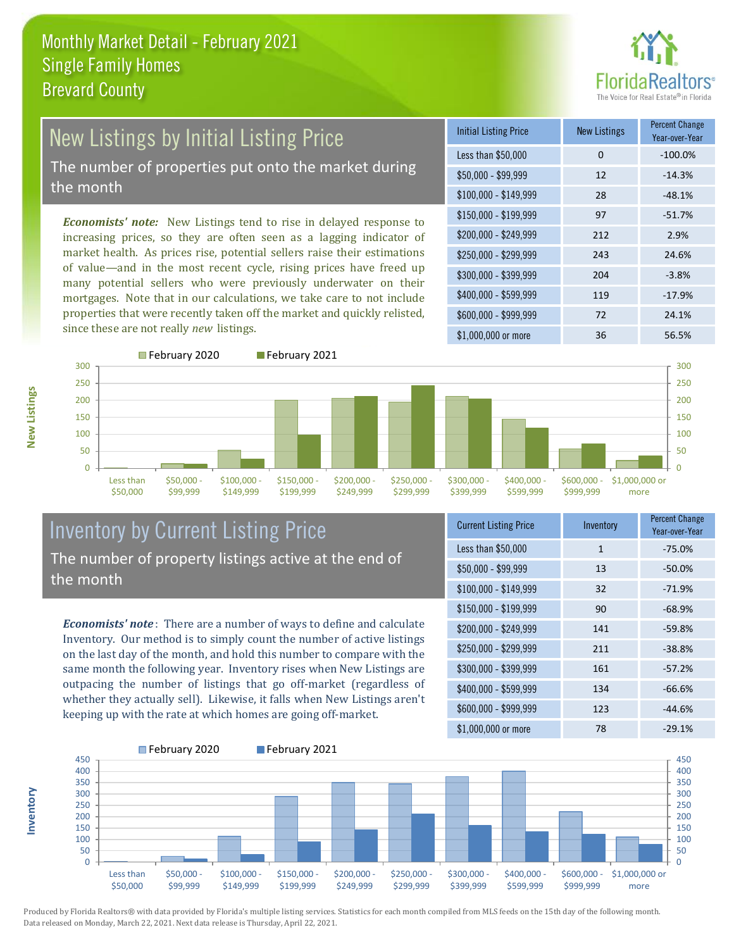

#### New Listings by Initial Listing Price The number of properties put onto the market during

the month

*Economists' note:* New Listings tend to rise in delayed response to increasing prices, so they are often seen as a lagging indicator of market health. As prices rise, potential sellers raise their estimations of value—and in the most recent cycle, rising prices have freed up many potential sellers who were previously underwater on their mortgages. Note that in our calculations, we take care to not include properties that were recently taken off the market and quickly relisted, since these are not really *new* listings.

| <b>Initial Listing Price</b> | New Listings | <b>Percent Change</b><br>Year-over-Year |
|------------------------------|--------------|-----------------------------------------|
| Less than \$50,000           | 0            | $-100.0%$                               |
| $$50,000 - $99,999$          | 12           | $-14.3%$                                |
| $$100,000 - $149,999$        | 28           | $-48.1%$                                |
| $$150,000 - $199,999$        | 97           | $-51.7%$                                |
| \$200,000 - \$249,999        | 212          | 2.9%                                    |
| \$250,000 - \$299,999        | 243          | 24.6%                                   |
| \$300,000 - \$399,999        | 204          | $-3.8%$                                 |
| \$400,000 - \$599,999        | 119          | $-17.9%$                                |
| \$600,000 - \$999,999        | 72           | 24.1%                                   |
| $$1,000,000$ or more         | 36           | 56.5%                                   |



**New Listings**

**Inventory**



#### Inventory by Current Listing Price The number of property listings active at the end of the month

*Economists' note* : There are a number of ways to define and calculate Inventory. Our method is to simply count the number of active listings on the last day of the month, and hold this number to compare with the same month the following year. Inventory rises when New Listings are outpacing the number of listings that go off-market (regardless of whether they actually sell). Likewise, it falls when New Listings aren't keeping up with the rate at which homes are going off-market.

| <b>Current Listing Price</b> | Inventory    | <b>Percent Change</b><br>Year-over-Year |
|------------------------------|--------------|-----------------------------------------|
| Less than \$50,000           | $\mathbf{1}$ | $-75.0%$                                |
| $$50,000 - $99,999$          | 13           | $-50.0%$                                |
| $$100,000 - $149,999$        | 32           | $-71.9%$                                |
| $$150,000 - $199,999$        | 90           | $-68.9%$                                |
| \$200,000 - \$249,999        | 141          | $-59.8%$                                |
| \$250,000 - \$299,999        | 211          | $-38.8%$                                |
| \$300,000 - \$399,999        | 161          | $-57.2%$                                |
| \$400,000 - \$599,999        | 134          | $-66.6%$                                |
| \$600,000 - \$999,999        | 123          | $-44.6%$                                |
| \$1,000,000 or more          | 78           | $-29.1%$                                |